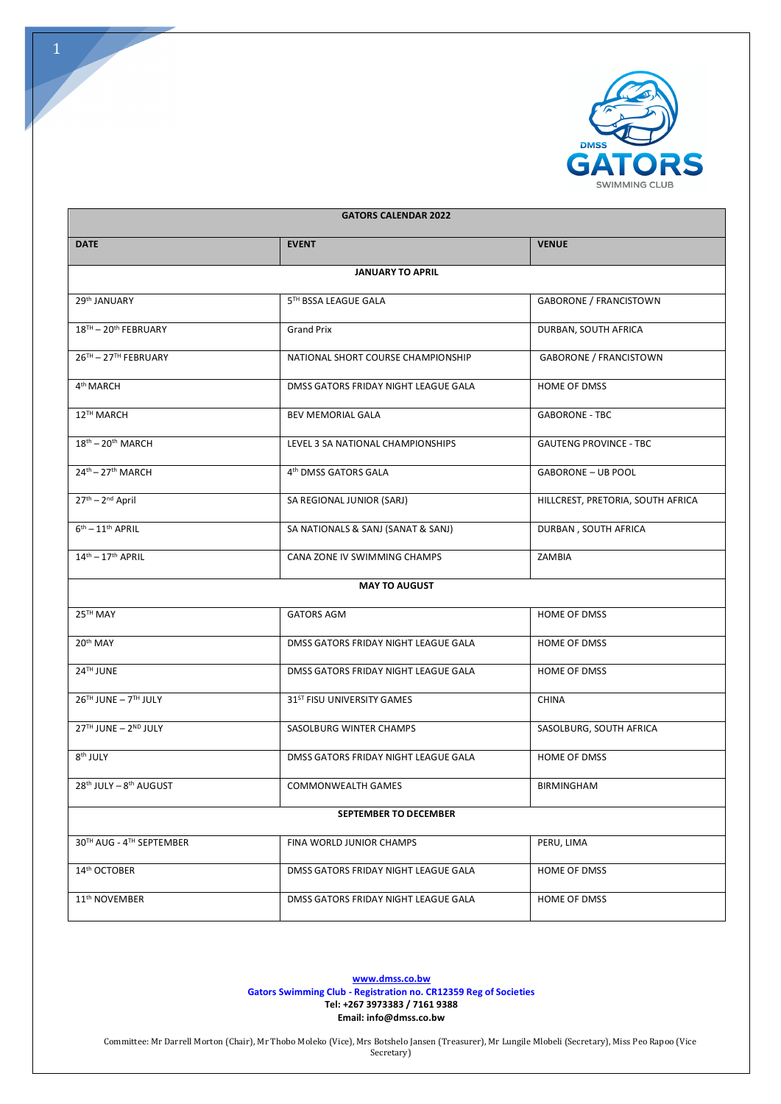

| <b>GATORS CALENDAR 2022</b> |                                        |                                   |
|-----------------------------|----------------------------------------|-----------------------------------|
| <b>DATE</b>                 | <b>EVENT</b>                           | <b>VENUE</b>                      |
| <b>JANUARY TO APRIL</b>     |                                        |                                   |
| 29th JANUARY                | 5TH BSSA LEAGUE GALA                   | <b>GABORONE / FRANCISTOWN</b>     |
| 18TH - 20th FEBRUARY        | <b>Grand Prix</b>                      | DURBAN, SOUTH AFRICA              |
| 26TH - 27TH FEBRUARY        | NATIONAL SHORT COURSE CHAMPIONSHIP     | <b>GABORONE / FRANCISTOWN</b>     |
| 4 <sup>th</sup> MARCH       | DMSS GATORS FRIDAY NIGHT LEAGUE GALA   | HOME OF DMSS                      |
| 12TH MARCH                  | <b>BEV MEMORIAL GALA</b>               | <b>GABORONE - TBC</b>             |
| $18th - 20th MARCH$         | LEVEL 3 SA NATIONAL CHAMPIONSHIPS      | <b>GAUTENG PROVINCE - TBC</b>     |
| 24th - 27th MARCH           | 4 <sup>th</sup> DMSS GATORS GALA       | <b>GABORONE - UB POOL</b>         |
| 27th - 2nd April            | SA REGIONAL JUNIOR (SARJ)              | HILLCREST, PRETORIA, SOUTH AFRICA |
| $6th - 11th$ APRIL          | SA NATIONALS & SANJ (SANAT & SANJ)     | DURBAN, SOUTH AFRICA              |
| $14th - 17th$ APRIL         | CANA ZONE IV SWIMMING CHAMPS           | ZAMBIA                            |
| <b>MAY TO AUGUST</b>        |                                        |                                   |
| 25TH MAY                    | <b>GATORS AGM</b>                      | HOME OF DMSS                      |
| 20th MAY                    | DMSS GATORS FRIDAY NIGHT LEAGUE GALA   | HOME OF DMSS                      |
| 24TH JUNE                   | DMSS GATORS FRIDAY NIGHT LEAGUE GALA   | HOME OF DMSS                      |
| 26TH JUNE - 7TH JULY        | 31 <sup>ST</sup> FISU UNIVERSITY GAMES | <b>CHINA</b>                      |
| 27TH JUNE - 2ND JULY        | SASOLBURG WINTER CHAMPS                | SASOLBURG, SOUTH AFRICA           |
| 8 <sup>th</sup> JULY        | DMSS GATORS FRIDAY NIGHT LEAGUE GALA   | <b>HOME OF DMSS</b>               |
| 28th JULY - 8th AUGUST      | <b>COMMONWEALTH GAMES</b>              | <b>BIRMINGHAM</b>                 |
| SEPTEMBER TO DECEMBER       |                                        |                                   |
| 30TH AUG - 4TH SEPTEMBER    | FINA WORLD JUNIOR CHAMPS               | PERU, LIMA                        |
| 14 <sup>th</sup> OCTOBER    | DMSS GATORS FRIDAY NIGHT LEAGUE GALA   | HOME OF DMSS                      |
| 11 <sup>th</sup> NOVEMBER   | DMSS GATORS FRIDAY NIGHT LEAGUE GALA   | HOME OF DMSS                      |

**www.dmss.co.bw Gators Swimming Club - Registration no. CR12359 Reg of Societies Tel: +267 3973383 / 7161 9388 Email: info@dmss.co.bw**

Committee: Mr Darrell Morton (Chair), Mr Thobo Moleko (Vice), Mrs Botshelo Jansen (Treasurer), Mr Lungile Mlobeli (Secretary), Miss Peo Rapoo (Vice Secretary)